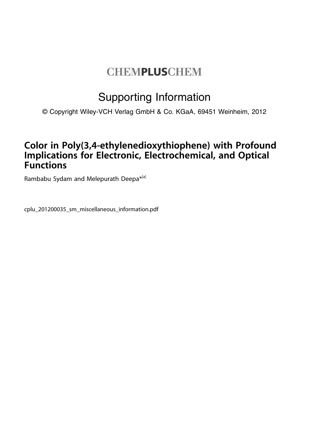# **CHEMPLUSCHEM**

## Supporting Information

© Copyright Wiley-VCH Verlag GmbH & Co. KGaA, 69451 Weinheim, 2012

### Color in Poly(3,4-ethylenedioxythiophene) with Profound Implications for Electronic, Electrochemical, and Optical **Functions**

Rambabu Sydam and Melepurath Deepa<sup>\*[a]</sup>

cplu\_201200035\_sm\_miscellaneous\_information.pdf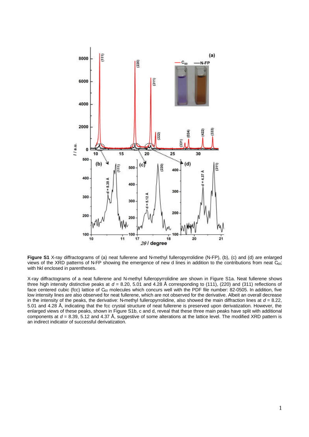

**Figure S1** X-ray diffractograms of (a) neat fullerene and N-methyl fulleropyrrolidine (N-FP), (b), (c) and (d) are enlarged views of the XRD patterns of N-FP showing the emergence of new d lines in addition to the contributions from neat  $\tilde{C}_{60}$ ; with hkl enclosed in parentheses.

X-ray diffractograms of a neat fullerene and N-methyl fulleropyrrolidine are shown in Figure S1a. Neat fullerene shows three high intensity distinctive peaks at  $d = 8.20, 5.01$  and  $4.28$  Å corresponding to (111), (220) and (311) reflections of face centered cubic (fcc) lattice of  $C_{60}$  molecules which concurs well with the PDF file number: 82-0505. In addition, five low intensity lines are also observed for neat fullerene, which are not observed for the derivative. Albeit an overall decrease in the intensity of the peaks, the derivative: N-methyl fulleropyrrolidine, also showed the main diffraction lines at  $d = 8.22$ . 5.01 and 4.28 Å, indicating that the fcc crystal structure of neat fullerene is preserved upon derivatization. However, the enlarged views of these peaks, shown in Figure S1b, c and d, reveal that these three main peaks have split with additional components at *d* = 8.39, 5.12 and 4.37 Å, suggestive of some alterations at the lattice level. The modified XRD pattern is an indirect indicator of successful derivatization.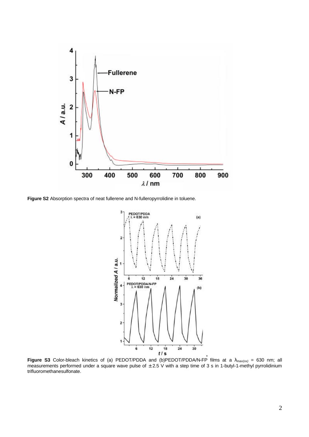

**Figure S2** Absorption spectra of neat fullerene and N-fulleropyrrolidine in toluene.



**Figure S3** Color-bleach kinetics of (a) PEDOT/PDDA and (b)PEDOT/PDDA/N-FP films at a *lmax(ox)* = 630 nm; all measurements performed under a square wave pulse of  $\pm 2.5$  V with a step time of 3 s in 1-butyl-1-methyl pyrrolidinium trifluoromethanesulfonate.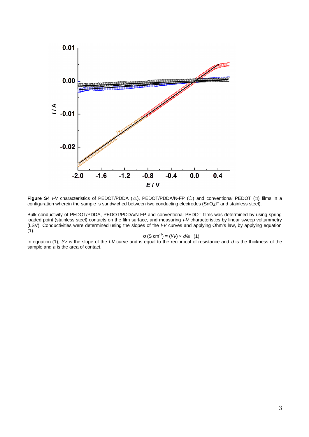

**Figure S4** *I-V* characteristics of PEDOT/PDDA  $(\triangle)$ , PEDOT/PDDA/N-FP  $(\circ)$  and conventional PEDOT  $(\square)$  films in a configuration wherein the sample is sandwiched between two conducting electrodes (SnO2:F and stainless steel).

Bulk conductivity of PEDOT/PDDA, PEDOT/PDDA/N-FP and conventional PEDOT films was determined by using spring loaded point (stainless steel) contacts on the film surface, and measuring *I-V* characteristics by linear sweep voltammetry (LSV). Conductivities were determined using the slopes of the *I-V* curves and applying Ohm's law, by applying equation  $(1)$ .

$$
s (S cm-1) = (l/V) \times d/a
$$
 (1)

In equation (1), *I/V* is the slope of the *I-V* curve and is equal to the reciprocal of resistance and *d* is the thickness of the sample and *a* is the area of contact.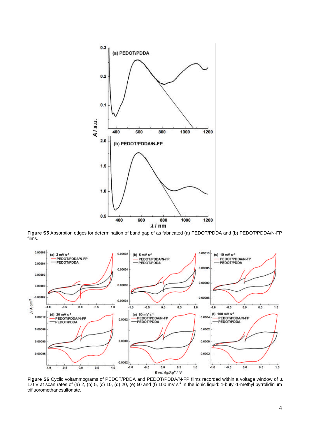

 **Figure S5** Absorption edges for determination of band gap of as fabricated (a) PEDOT/PDDA and (b) PEDOT/PDDA/N-FP films.



**Figure S6** Cyclic voltammograms of PEDOT/PDDA and PEDOT/PDDA/N-FP films recorded within a voltage window of ± 1.0 V at scan rates of (a) 2, (b) 5, (c) 10, (d) 20, (e) 50 and (f) 100 mV s<sup>-1</sup> in the ionic liquid: 1-butyl-1-methyl pyrrolidinium trifluoromethanesulfonate.